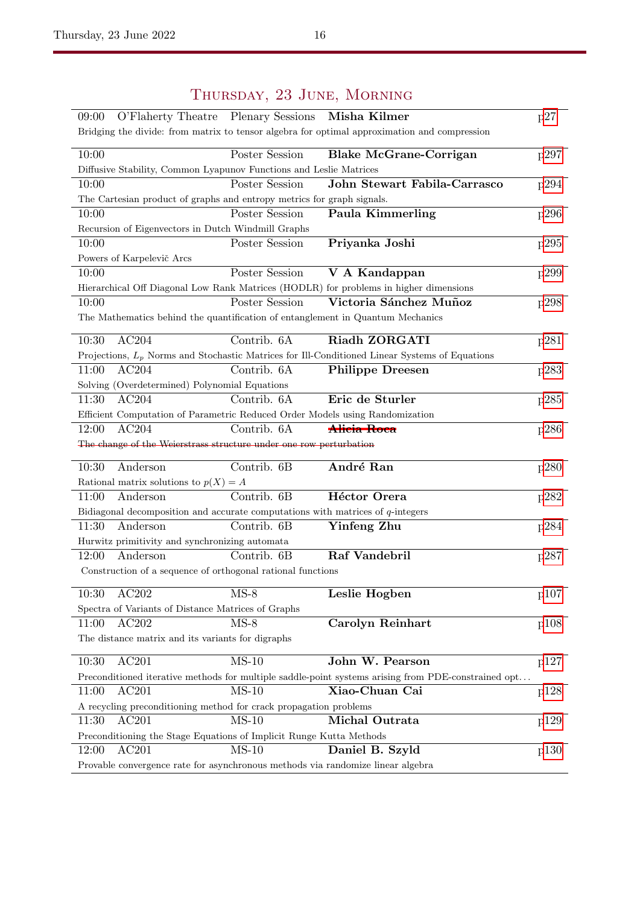## 09:00 O'Flaherty Theatre Plenary Sessions Misha Kilmer [p27](#page--1-0) Bridging the divide: from matrix to tensor algebra for optimal approximation and compression 10:00 Poster Session Blake McGrane-Corrigan [p297](#page--1-0) Diffusive Stability, Common Lyapunov Functions and Leslie Matrices 10:00 Poster Session John Stewart Fabila-Carrasco [p294](#page--1-0) The Cartesian product of graphs and entropy metrics for graph signals. 10:00 Poster Session Paula Kimmerling [p296](#page--1-0) Recursion of Eigenvectors in Dutch Windmill Graphs 10:00 Poster Session Priyanka Joshi [p295](#page--1-0) Powers of Karpelevič Arcs 10:00 Poster Session V A Kandappan [p299](#page--1-0) Hierarchical Off Diagonal Low Rank Matrices (HODLR) for problems in higher dimensions 10:00 Poster Session Victoria Sánchez Muñoz [p298](#page--1-0) The Mathematics behind the quantification of entanglement in Quantum Mechanics 10:30 AC204 Contrib. 6A Riadh ZORGATI [p281](#page--1-0) Projections,  $L_p$  Norms and Stochastic Matrices for Ill-Conditioned Linear Systems of Equations 11:00 AC204 Contrib. 6A Philippe Dreesen [p283](#page--1-0) Solving (Overdetermined) Polynomial Equations 11:30 AC204 Contrib. 6A Eric de Sturler [p285](#page--1-0) Efficient Computation of Parametric Reduced Order Models using Randomization 12:00 AC204 Contrib. 6A **Alicia Roca** [p286](#page--1-0) The change of the Weierstrass structure under one row perturbation 10:30 Anderson Contrib. 6B André Ran [p280](#page--1-0) Rational matrix solutions to  $p(X) = A$ 11:00 Anderson Contrib. 6B **Héctor Orera** [p282](#page--1-0) Bidiagonal decomposition and accurate computations with matrices of  $q$ -integers 11:30 Anderson Contrib. 6B Yinfeng Zhu [p284](#page--1-0) Hurwitz primitivity and synchronizing automata 12:00 Anderson Contrib. 6B Raf Vandebril [p287](#page--1-0) Construction of a sequence of orthogonal rational functions 10:30 AC202 MS-8 Leslie Hogben [p107](#page--1-0) Spectra of Variants of Distance Matrices of Graphs 11:00 AC202 MS-8 Carolyn Reinhart [p108](#page--1-0) The distance matrix and its variants for digraphs 10:30 AC201 MS-10 John W. Pearson [p127](#page--1-0) Preconditioned iterative methods for multiple saddle-point systems arising from PDE-constrained opt. . . 11:00 AC201 MS-10 Xiao-Chuan Cai [p128](#page--1-0) A recycling preconditioning method for crack propagation problems 11:30 AC201 MS-10 **Michal Outrata** [p129](#page--1-0) Preconditioning the Stage Equations of Implicit Runge Kutta Methods 12:00 AC201 MS-10 **Daniel B. Szyld** [p130](#page--1-0) Provable convergence rate for asynchronous methods via randomize linear algebra

## Thursday, 23 June, Morning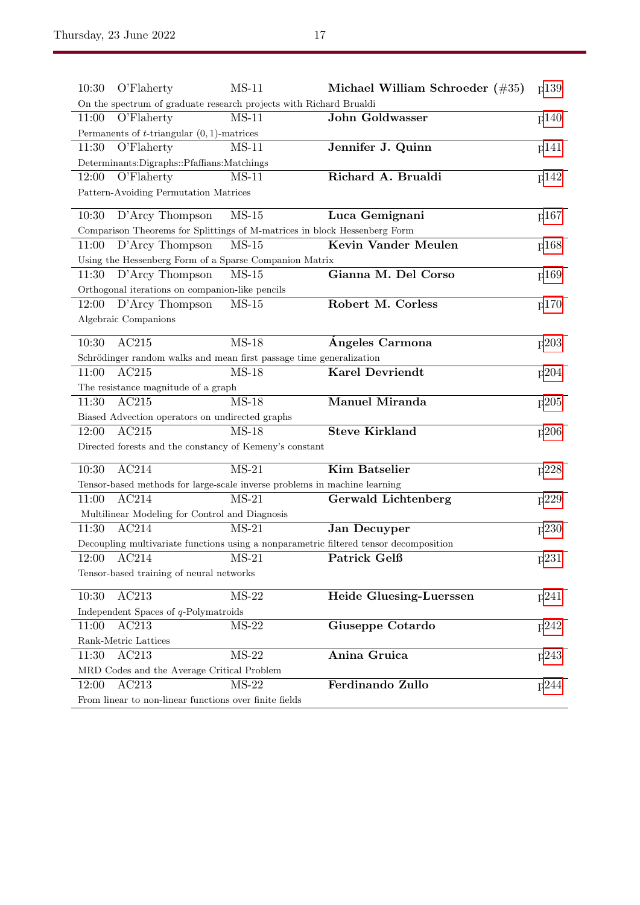| 10:30<br>O'Flaherty                                                                   | $MS-11$ | Michael William Schroeder $(\#35)$ | p139 |  |
|---------------------------------------------------------------------------------------|---------|------------------------------------|------|--|
| On the spectrum of graduate research projects with Richard Brualdi                    |         |                                    |      |  |
| O'Flaherty<br>11:00                                                                   | $MS-11$ | <b>John Goldwasser</b>             | p140 |  |
| Permanents of $t$ -triangular $(0, 1)$ -matrices                                      |         |                                    |      |  |
| 11:30<br>O'Flaherty                                                                   | $MS-11$ | Jennifer J. Quinn                  | p141 |  |
| Determinants:Digraphs::Pfaffians:Matchings                                            |         |                                    |      |  |
| 12:00<br>O'Flaherty                                                                   | $MS-11$ | Richard A. Brualdi                 | p142 |  |
| Pattern-Avoiding Permutation Matrices                                                 |         |                                    |      |  |
| D'Arcy Thompson<br>10:30                                                              | $MS-15$ | Luca Gemignani                     | p167 |  |
| Comparison Theorems for Splittings of M-matrices in block Hessenberg Form             |         |                                    |      |  |
| $D'$ Arcy Thompson<br>11:00                                                           | $MS-15$ | Kevin Vander Meulen                | p168 |  |
| Using the Hessenberg Form of a Sparse Companion Matrix                                |         |                                    |      |  |
| D'Arcy Thompson<br>11:30                                                              | $MS-15$ | Gianna M. Del Corso                | p169 |  |
| Orthogonal iterations on companion-like pencils                                       |         |                                    |      |  |
| D'Arcy Thompson<br>12:00                                                              | $MS-15$ | Robert M. Corless                  | p170 |  |
| Algebraic Companions                                                                  |         |                                    |      |  |
|                                                                                       |         |                                    |      |  |
| AC215<br>10:30                                                                        | $MS-18$ | Angeles Carmona                    | p203 |  |
| Schrödinger random walks and mean first passage time generalization                   |         |                                    |      |  |
| AC215<br>11:00                                                                        | MS-18   | <b>Karel Devriendt</b>             | p204 |  |
| The resistance magnitude of a graph                                                   |         |                                    |      |  |
| AC215<br>11:30                                                                        | $MS-18$ | <b>Manuel Miranda</b>              | p205 |  |
| Biased Advection operators on undirected graphs                                       |         |                                    |      |  |
| AC215<br>12:00                                                                        | $MS-18$ | <b>Steve Kirkland</b>              | p206 |  |
| Directed forests and the constancy of Kemeny's constant                               |         |                                    |      |  |
| AC214<br>10:30                                                                        | $MS-21$ | <b>Kim Batselier</b>               | p228 |  |
| Tensor-based methods for large-scale inverse problems in machine learning             |         |                                    |      |  |
| 11:00<br>AC214                                                                        | $MS-21$ | <b>Gerwald Lichtenberg</b>         | p229 |  |
| Multilinear Modeling for Control and Diagnosis                                        |         |                                    |      |  |
| AC214<br>11:30                                                                        | $MS-21$ | <b>Jan Decuyper</b>                | p230 |  |
| Decoupling multivariate functions using a nonparametric filtered tensor decomposition |         |                                    |      |  |
| AC214<br>12:00                                                                        | $MS-21$ | Patrick Gelß                       | p231 |  |
| Tensor-based training of neural networks                                              |         |                                    |      |  |
| AC213<br>10:30                                                                        | $MS-22$ | Heide Gluesing-Luerssen            | p241 |  |
| Independent Spaces of $q$ -Polymatroids                                               |         |                                    |      |  |
| 11:00<br>AC213                                                                        | $MS-22$ | Giuseppe Cotardo                   | p242 |  |
| Rank-Metric Lattices                                                                  |         |                                    |      |  |
| AC213<br>11:30                                                                        | $MS-22$ | Anina Gruica                       | p243 |  |
| MRD Codes and the Average Critical Problem                                            |         |                                    |      |  |
| AC213<br>12:00                                                                        | $MS-22$ | Ferdinando Zullo                   | p244 |  |
| From linear to non-linear functions over finite fields                                |         |                                    |      |  |